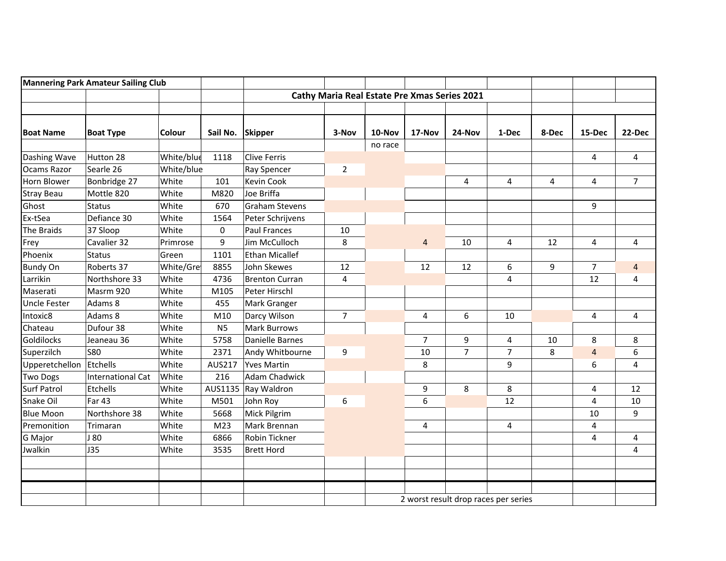| <b>Mannering Park Amateur Sailing Club</b> |                          |               |                  |                       |                                                     |         |                |                                      |                |       |                |                |
|--------------------------------------------|--------------------------|---------------|------------------|-----------------------|-----------------------------------------------------|---------|----------------|--------------------------------------|----------------|-------|----------------|----------------|
|                                            |                          |               |                  |                       | <b>Cathy Maria Real Estate Pre Xmas Series 2021</b> |         |                |                                      |                |       |                |                |
|                                            |                          |               |                  |                       |                                                     |         |                |                                      |                |       |                |                |
| <b>Boat Name</b>                           | <b>Boat Type</b>         | <b>Colour</b> | Sail No. Skipper |                       | 3-Nov                                               | 10-Nov  | 17-Nov         | 24-Nov                               | 1-Dec          | 8-Dec | 15-Dec         | 22-Dec         |
|                                            |                          |               |                  |                       |                                                     | no race |                |                                      |                |       |                |                |
| Dashing Wave                               | Hutton 28                | White/blue    | 1118             | Clive Ferris          |                                                     |         |                |                                      |                |       | 4              | 4              |
| Ocams Razor                                | Searle 26                | White/blue    |                  | Ray Spencer           | $\overline{2}$                                      |         |                |                                      |                |       |                |                |
| Horn Blower                                | Bonbridge 27             | White         | 101              | Kevin Cook            |                                                     |         |                | 4                                    | 4              | 4     | 4              | 7              |
| <b>Stray Beau</b>                          | Mottle 820               | White         | M820             | Joe Briffa            |                                                     |         |                |                                      |                |       |                |                |
| Ghost                                      | <b>Status</b>            | White         | 670              | <b>Graham Stevens</b> |                                                     |         |                |                                      |                |       | 9              |                |
| Ex-tSea                                    | Defiance 30              | White         | 1564             | Peter Schrijvens      |                                                     |         |                |                                      |                |       |                |                |
| The Braids                                 | 37 Sloop                 | White         | $\mathbf 0$      | <b>Paul Frances</b>   | 10                                                  |         |                |                                      |                |       |                |                |
| Frey                                       | Cavalier 32              | Primrose      | 9                | Jim McCulloch         | 8                                                   |         | 4              | 10                                   | 4              | 12    | 4              | 4              |
| Phoenix                                    | <b>Status</b>            | Green         | 1101             | <b>Ethan Micallef</b> |                                                     |         |                |                                      |                |       |                |                |
| <b>Bundy On</b>                            | Roberts 37               | White/Gre     | 8855             | John Skewes           | 12                                                  |         | 12             | 12                                   | 6              | 9     | $\overline{7}$ | $\overline{4}$ |
| Larrikin                                   | Northshore 33            | White         | 4736             | <b>Brenton Curran</b> | 4                                                   |         |                |                                      | 4              |       | 12             | 4              |
| Maserati                                   | Masrm 920                | White         | M105             | Peter Hirschl         |                                                     |         |                |                                      |                |       |                |                |
| <b>Uncle Fester</b>                        | Adams 8                  | White         | 455              | Mark Granger          |                                                     |         |                |                                      |                |       |                |                |
| Intoxic8                                   | Adams 8                  | White         | M10              | Darcy Wilson          | $\overline{7}$                                      |         | 4              | 6                                    | 10             |       | 4              | 4              |
| Chateau                                    | Dufour 38                | White         | N <sub>5</sub>   | <b>Mark Burrows</b>   |                                                     |         |                |                                      |                |       |                |                |
| Goldilocks                                 | Jeaneau 36               | White         | 5758             | Danielle Barnes       |                                                     |         | $\overline{7}$ | 9                                    | 4              | 10    | 8              | 8              |
| Superzilch                                 | <b>S80</b>               | White         | 2371             | Andy Whitbourne       | 9                                                   |         | 10             | $\overline{7}$                       | $\overline{7}$ | 8     | 4              | 6              |
| Upperetchellon                             | Etchells                 | White         | AUS217           | <b>Yves Martin</b>    |                                                     |         | 8              |                                      | 9              |       | 6              | 4              |
| <b>Two Dogs</b>                            | <b>International Cat</b> | White         | 216              | Adam Chadwick         |                                                     |         |                |                                      |                |       |                |                |
| <b>Surf Patrol</b>                         | Etchells                 | White         | AUS1135          | Ray Waldron           |                                                     |         | 9              | 8                                    | 8              |       | 4              | 12             |
| Snake Oil                                  | <b>Far 43</b>            | White         | M501             | John Roy              | 6                                                   |         | 6              |                                      | 12             |       | 4              | 10             |
| <b>Blue Moon</b>                           | Northshore 38            | White         | 5668             | Mick Pilgrim          |                                                     |         |                |                                      |                |       | 10             | 9              |
| Premonition                                | Trimaran                 | White         | M23              | Mark Brennan          |                                                     |         | 4              |                                      | 4              |       | 4              |                |
| G Major                                    | J 80                     | White         | 6866             | Robin Tickner         |                                                     |         |                |                                      |                |       | 4              | 4              |
| Jwalkin                                    | <b>J35</b>               | White         | 3535             | <b>Brett Hord</b>     |                                                     |         |                |                                      |                |       |                | 4              |
|                                            |                          |               |                  |                       |                                                     |         |                |                                      |                |       |                |                |
|                                            |                          |               |                  |                       |                                                     |         |                |                                      |                |       |                |                |
|                                            |                          |               |                  |                       |                                                     |         |                |                                      |                |       |                |                |
|                                            |                          |               |                  |                       |                                                     |         |                | 2 worst result drop races per series |                |       |                |                |